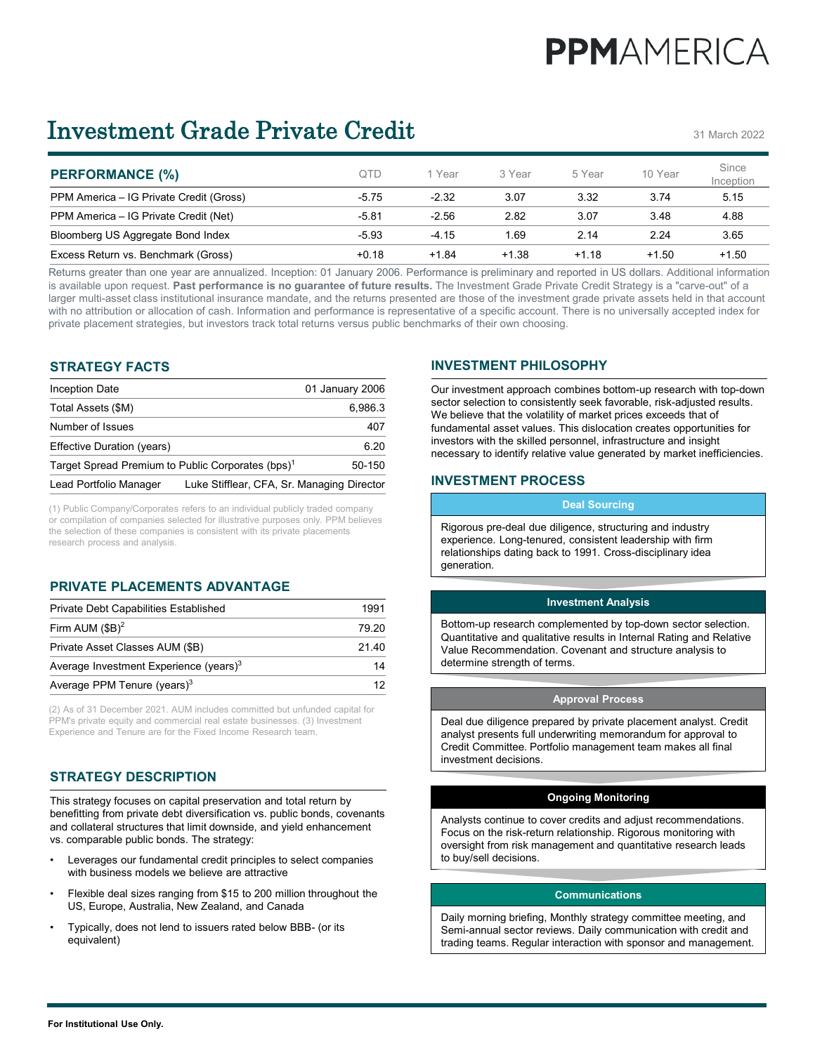# **PPMAMFRICA**

# Investment Grade Private Credit

31 March 2022

| <b>PERFORMANCE (%)</b>                  | OTD     | 1 Year  | 3 Year  | 5 Year  | 10 Year | Since<br>Inception |
|-----------------------------------------|---------|---------|---------|---------|---------|--------------------|
| PPM America – IG Private Credit (Gross) | $-5.75$ | $-2.32$ | 3.07    | 3.32    | 3.74    | 5.15               |
| PPM America - IG Private Credit (Net)   | $-5.81$ | $-2.56$ | 2.82    | 3.07    | 3.48    | 4.88               |
| Bloomberg US Aggregate Bond Index       | $-5.93$ | $-4.15$ | 1.69    | 2.14    | 2.24    | 3.65               |
| Excess Return vs. Benchmark (Gross)     | $+0.18$ | $+1.84$ | $+1.38$ | $+1.18$ | $+1.50$ | $+1.50$            |

Returns greater than one year are annualized. Inception: 01 January 2006. Performance is preliminary and reported in US dollars. Additional information is available upon request. **Past performance is no guarantee of future results.** The Investment Grade Private Credit Strategy is a "carve-out" of a larger multi-asset class institutional insurance mandate, and the returns presented are those of the investment grade private assets held in that account with no attribution or allocation of cash. Information and performance is representative of a specific account. There is no universally accepted index for private placement strategies, but investors track total returns versus public benchmarks of their own choosing.

# **STRATEGY FACTS**

| Inception Date                                                | 01 January 2006                            |
|---------------------------------------------------------------|--------------------------------------------|
| Total Assets (\$M)                                            | 6,986.3                                    |
| Number of Issues                                              | 407                                        |
| Effective Duration (years)                                    | 6.20                                       |
| Target Spread Premium to Public Corporates (bps) <sup>1</sup> | 50-150                                     |
| Lead Portfolio Manager                                        | Luke Stifflear, CFA, Sr. Managing Director |

(1) Public Company/Corporates refers to an individual publicly traded company or compilation of companies selected for illustrative purposes only. PPM believes the selection of these companies is consistent with its private placements research process and analysis.

# **PRIVATE PLACEMENTS ADVANTAGE**

| Average PPM Tenure (years) $3$                     | 12    |  |  |
|----------------------------------------------------|-------|--|--|
| Average Investment Experience (years) <sup>3</sup> | 14    |  |  |
| Private Asset Classes AUM (\$B)                    | 21 40 |  |  |
| Firm AUM $(SB)^2$                                  | 79 20 |  |  |
| <b>Private Debt Capabilities Established</b>       | 1991  |  |  |

(2) As of 31 December 2021. AUM includes committed but unfunded capital for PPM's private equity and commercial real estate businesses. (3) Investment Experience and Tenure are for the Fixed Income Research team.

# **STRATEGY DESCRIPTION**

This strategy focuses on capital preservation and total return by benefitting from private debt diversification vs. public bonds, covenants and collateral structures that limit downside, and yield enhancement vs. comparable public bonds. The strategy:

- Leverages our fundamental credit principles to select companies with business models we believe are attractive
- Flexible deal sizes ranging from \$15 to 200 million throughout the US, Europe, Australia, New Zealand, and Canada
- Typically, does not lend to issuers rated below BBB- (or its equivalent)

# **INVESTMENT PHILOSOPHY**

Our investment approach combines bottom-up research with top-down sector selection to consistently seek favorable, risk-adjusted results. We believe that the volatility of market prices exceeds that of fundamental asset values. This dislocation creates opportunities for investors with the skilled personnel, infrastructure and insight necessary to identify relative value generated by market inefficiencies.

## **INVESTMENT PROCESS**

#### **Deal Sourcing**

Rigorous pre-deal due diligence, structuring and industry experience. Long-tenured, consistent leadership with firm relationships dating back to 1991. Cross-disciplinary idea generation.

#### **Investment Analysis**

Bottom-up research complemented by top-down sector selection. Quantitative and qualitative results in Internal Rating and Relative Value Recommendation. Covenant and structure analysis to determine strength of terms.

#### **Approval Process**

Deal due diligence prepared by private placement analyst. Credit analyst presents full underwriting memorandum for approval to Credit Committee. Portfolio management team makes all final investment decisions.

#### **Ongoing Monitoring**

Analysts continue to cover credits and adjust recommendations. Focus on the risk-return relationship. Rigorous monitoring with oversight from risk management and quantitative research leads to buy/sell decisions.

#### **Communications**

Daily morning briefing, Monthly strategy committee meeting, and Semi-annual sector reviews. Daily communication with credit and trading teams. Regular interaction with sponsor and management.